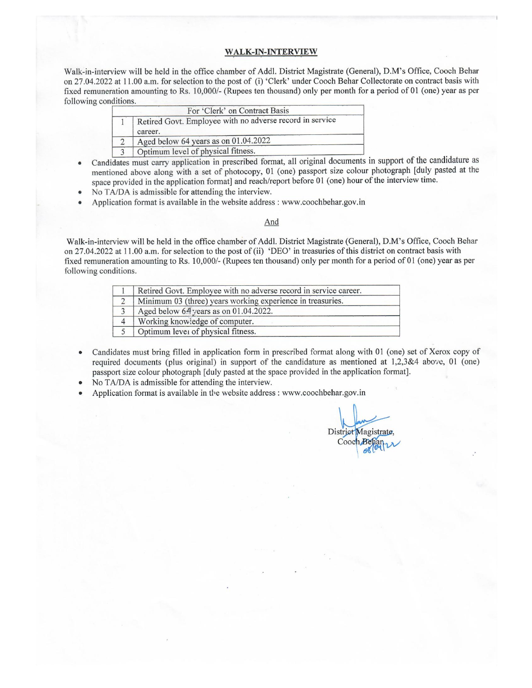### **WALK-IN-INTERVIEW**

Walk-in-interview will be held in the office chamber of Addl. District Magistrate (General), D.M's Office, Cooch Behar on 27.04.2022 at 11.00 a.m. for selection to the post of (i) 'Clerk' under Cooch Behar Collectorate on contract basis with fixed remuneration amounting to Rs. 10,000/- (Rupees ten thousand) only per month for a period of 01 (one) year as per following conditions.

| For 'Clerk' on Contract Basis                                       |  |  |  |
|---------------------------------------------------------------------|--|--|--|
| Retired Govt. Employee with no adverse record in service<br>career. |  |  |  |
| Aged below 64 years as on 01.04.2022                                |  |  |  |
| Optimum level of physical fitness.                                  |  |  |  |

- Candidates must carry application in prescribed format, all original documents in support of the candidature as mentioned above along with a set of photocopy, 01 (one) passport size colour photograph [duly pasted at the space provided in the application format] and reach/report before 01 (one) hour of the interview time.
- No TA/DA is admissible for attending the interview.  $\bullet$
- Application format is available in the website address: www.coochbehar.gov.in

#### And

Walk-in-interview will be held in the office chamber of Addl. District Magistrate (General), D.M's Office, Cooch Behar on 27.04.2022 at 11.00 a.m. for selection to the post of (ii) 'DEO' in treasuries of this district on contract basis with fixed remuneration amounting to Rs. 10,000/- (Rupees ten thousand) only per month for a period of 01 (one) year as per following conditions.

|                | Retired Govt. Employee with no adverse record in service career. |  |
|----------------|------------------------------------------------------------------|--|
| 2              | Minimum 03 (three) years working experience in treasuries.       |  |
|                | Aged below 64 years as on 01.04.2022.                            |  |
| $\overline{4}$ | Working knowledge of computer.                                   |  |
|                | Optimum level of physical fitness.                               |  |

- Candidates must bring filled in application form in prescribed format along with 01 (one) set of Xerox copy of required documents (plus original) in support of the candidature as mentioned at 1,2,3&4 above, 01 (one) passport size colour photograph [duly pasted at the space provided in the application format].
- No TA/DA is admissible for attending the interview.
- Application format is available in the website address : www.coochbehar.gov.in

District Magistrate Coocl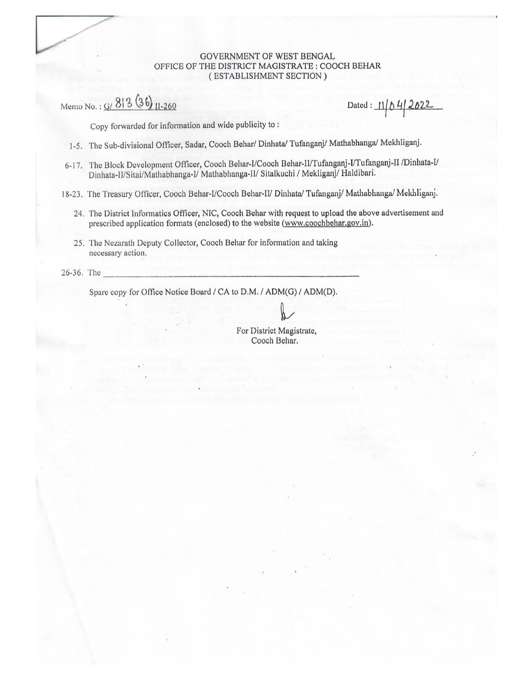### GOVERNMENT OF WEST BENGAL OFFICE OF THE DISTRICT MAGISTRATE : COOCH BEHAR (ESTABLISHMENT SECTION)

Memo No.: G/ 813 (36) 11-260

Dated:  $11/04/2022$ 

Copy forwarded for information and wide publicity to:

- 1-5. The Sub-divisional Officer, Sadar, Cooch Behar/ Dinhata/ Tufanganj/ Mathabhanga/ Mekhliganj.
- 6-17. The Block Development Officer, Cooch Behar-I/Cooch Behar-II/Tufanganj-I/Tufanganj-II /Dinhata-I/ Dinhata-II/Sitai/Mathabhanga-I/ Mathabhanga-II/ Sitalkuchi / Mekliganj/ Haldibari.
- 18-23. The Treasury Officer, Cooch Behar-I/Cooch Behar-II/ Dinhata/ Tufanganj/ Mathabhanga/ Mekhliganj.
	- 24. The District Informatics Officer, NIC, Cooch Behar with request to upload the above advertisement and prescribed application formats (enclosed) to the website (www.coochbehar.gov.in).
	- 25. The Nezarath Deputy Collector, Cooch Behar for information and taking necessary action.

26-36. The

Spare copy for Office Notice Board / CA to D.M. / ADM(G) / ADM(D).

For District Magistrate, Cooch Behar.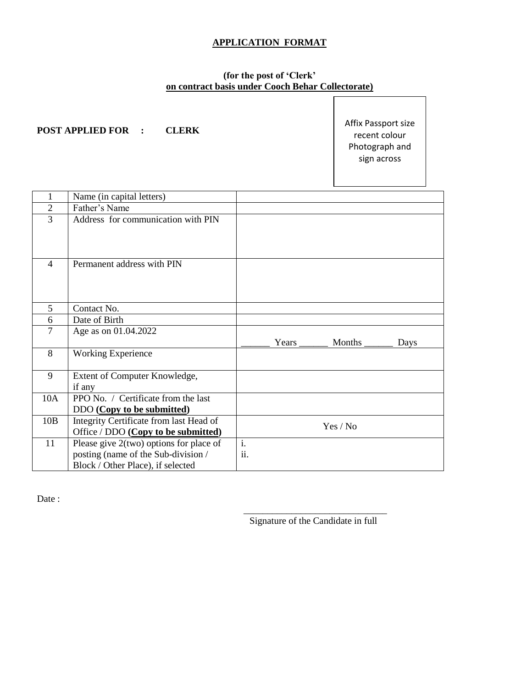# **APPLICATION FORMAT**

### **(for the post of 'Clerk' on contract basis under Cooch Behar Collectorate)**

### **POST APPLIED FOR : CLERK**

Affix Passport size recent colour Photograph and sign across

| 1              | Name (in capital letters)                                                                                           |           |              |               |      |
|----------------|---------------------------------------------------------------------------------------------------------------------|-----------|--------------|---------------|------|
| $\overline{2}$ | Father's Name                                                                                                       |           |              |               |      |
| $\overline{3}$ | Address for communication with PIN                                                                                  |           |              |               |      |
| $\overline{4}$ | Permanent address with PIN                                                                                          |           |              |               |      |
| 5              | Contact No.                                                                                                         |           |              |               |      |
| 6              | Date of Birth                                                                                                       |           |              |               |      |
| 7              | Age as on 01.04.2022                                                                                                |           | Years $\_\_$ | Months $\_\_$ | Days |
| 8              | <b>Working Experience</b>                                                                                           |           |              |               |      |
| 9              | Extent of Computer Knowledge,<br>if any                                                                             |           |              |               |      |
| 10A            | PPO No. / Certificate from the last<br>DDO (Copy to be submitted)                                                   |           |              |               |      |
| 10B            | Integrity Certificate from last Head of<br>Office / DDO (Copy to be submitted)                                      |           |              | Yes / No      |      |
| 11             | Please give 2(two) options for place of<br>posting (name of the Sub-division /<br>Block / Other Place), if selected | i.<br>ii. |              |               |      |

Date :

Signature of the Candidate in full

 $\frac{1}{\sqrt{2}}$  ,  $\frac{1}{\sqrt{2}}$  ,  $\frac{1}{\sqrt{2}}$  ,  $\frac{1}{\sqrt{2}}$  ,  $\frac{1}{\sqrt{2}}$  ,  $\frac{1}{\sqrt{2}}$  ,  $\frac{1}{\sqrt{2}}$  ,  $\frac{1}{\sqrt{2}}$  ,  $\frac{1}{\sqrt{2}}$  ,  $\frac{1}{\sqrt{2}}$  ,  $\frac{1}{\sqrt{2}}$  ,  $\frac{1}{\sqrt{2}}$  ,  $\frac{1}{\sqrt{2}}$  ,  $\frac{1}{\sqrt{2}}$  ,  $\frac{1}{\sqrt{2}}$